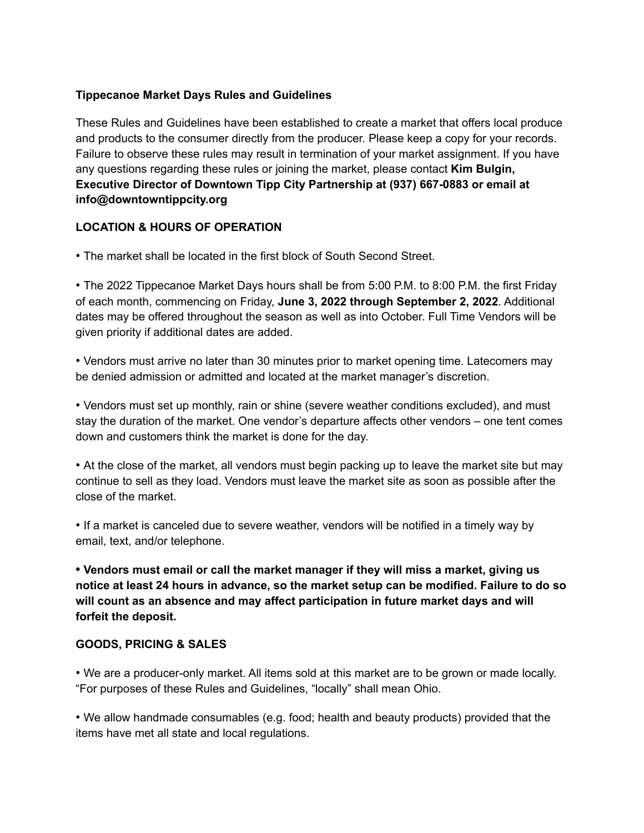#### **Tippecanoe Market Days Rules and Guidelines**

These Rules and Guidelines have been established to create a market that offers local produce and products to the consumer directly from the producer. Please keep a copy for your records. Failure to observe these rules may result in termination of your market assignment. If you have any questions regarding these rules or joining the market, please contact **Kim Bulgin, Executive Director of Downtown Tipp City Partnership at (937) 667-0883 or email at info@downtowntippcity.org**

#### **LOCATION & HOURS OF OPERATION**

• The market shall be located in the first block of South Second Street.

• The 2022 Tippecanoe Market Days hours shall be from 5:00 P.M. to 8:00 P.M. the first Friday of each month, commencing on Friday, **June 3, 2022 through September 2, 2022**. Additional dates may be offered throughout the season as well as into October. Full Time Vendors will be given priority if additional dates are added.

• Vendors must arrive no later than 30 minutes prior to market opening time. Latecomers may be denied admission or admitted and located at the market manager's discretion.

• Vendors must set up monthly, rain or shine (severe weather conditions excluded), and must stay the duration of the market. One vendor's departure affects other vendors – one tent comes down and customers think the market is done for the day.

• At the close of the market, all vendors must begin packing up to leave the market site but may continue to sell as they load. Vendors must leave the market site as soon as possible after the close of the market.

• If a market is canceled due to severe weather, vendors will be notified in a timely way by email, text, and/or telephone.

**• Vendors must email or call the market manager if they will miss a market, giving us notice at least 24 hours in advance, so the market setup can be modified. Failure to do so will count as an absence and may affect participation in future market days and will forfeit the deposit.**

#### **GOODS, PRICING & SALES**

• We are a producer-only market. All items sold at this market are to be grown or made locally. "For purposes of these Rules and Guidelines, "locally" shall mean Ohio.

• We allow handmade consumables (e.g. food; health and beauty products) provided that the items have met all state and local regulations.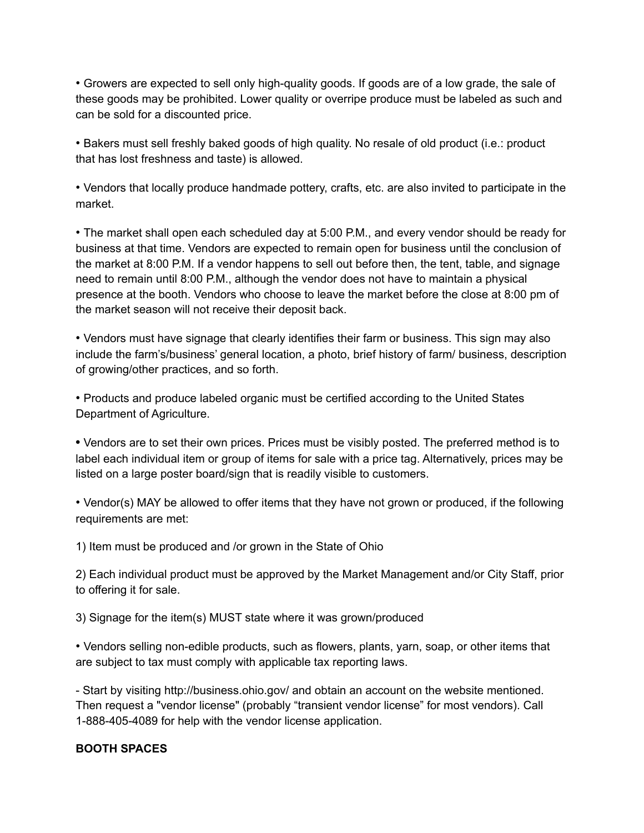• Growers are expected to sell only high-quality goods. If goods are of a low grade, the sale of these goods may be prohibited. Lower quality or overripe produce must be labeled as such and can be sold for a discounted price.

• Bakers must sell freshly baked goods of high quality. No resale of old product (i.e.: product that has lost freshness and taste) is allowed.

• Vendors that locally produce handmade pottery, crafts, etc. are also invited to participate in the market.

• The market shall open each scheduled day at 5:00 P.M., and every vendor should be ready for business at that time. Vendors are expected to remain open for business until the conclusion of the market at 8:00 P.M. If a vendor happens to sell out before then, the tent, table, and signage need to remain until 8:00 P.M., although the vendor does not have to maintain a physical presence at the booth. Vendors who choose to leave the market before the close at 8:00 pm of the market season will not receive their deposit back.

• Vendors must have signage that clearly identifies their farm or business. This sign may also include the farm's/business' general location, a photo, brief history of farm/ business, description of growing/other practices, and so forth.

• Products and produce labeled organic must be certified according to the United States Department of Agriculture.

**•** Vendors are to set their own prices. Prices must be visibly posted. The preferred method is to label each individual item or group of items for sale with a price tag. Alternatively, prices may be listed on a large poster board/sign that is readily visible to customers.

• Vendor(s) MAY be allowed to offer items that they have not grown or produced, if the following requirements are met:

1) Item must be produced and /or grown in the State of Ohio

2) Each individual product must be approved by the Market Management and/or City Staff, prior to offering it for sale.

3) Signage for the item(s) MUST state where it was grown/produced

• Vendors selling non-edible products, such as flowers, plants, yarn, soap, or other items that are subject to tax must comply with applicable tax reporting laws.

- Start by visiting http://business.ohio.gov/ and obtain an account on the website mentioned. Then request a "vendor license" (probably "transient vendor license" for most vendors). Call 1-888-405-4089 for help with the vendor license application.

## **BOOTH SPACES**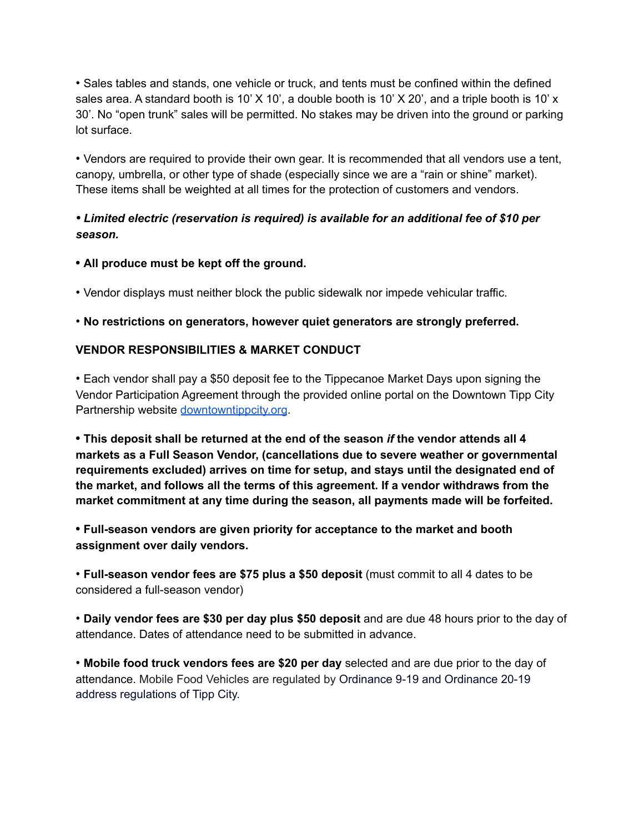• Sales tables and stands, one vehicle or truck, and tents must be confined within the defined sales area. A standard booth is 10'  $X$  10', a double booth is 10'  $X$  20', and a triple booth is 10'  $x$ 30'. No "open trunk" sales will be permitted. No stakes may be driven into the ground or parking lot surface.

• Vendors are required to provide their own gear. It is recommended that all vendors use a tent, canopy, umbrella, or other type of shade (especially since we are a "rain or shine" market). These items shall be weighted at all times for the protection of customers and vendors.

# *• Limited electric (reservation is required) is available for an additional fee of \$10 per season.*

**• All produce must be kept off the ground.**

• Vendor displays must neither block the public sidewalk nor impede vehicular traffic.

## • **No restrictions on generators, however quiet generators are strongly preferred.**

## **VENDOR RESPONSIBILITIES & MARKET CONDUCT**

• Each vendor shall pay a \$50 deposit fee to the Tippecanoe Market Days upon signing the Vendor Participation Agreement through the provided online portal on the Downtown Tipp City Partnership website [downtowntippcity.org](https://www.downtowntippcity.org/).

**• This deposit shall be returned at the end of the season** *if* **the vendor attends all 4 markets as a Full Season Vendor, (cancellations due to severe weather or governmental requirements excluded) arrives on time for setup, and stays until the designated end of the market, and follows all the terms of this agreement. If a vendor withdraws from the market commitment at any time during the season, all payments made will be forfeited.**

**• Full-season vendors are given priority for acceptance to the market and booth assignment over daily vendors.**

• **Full-season vendor fees are \$75 plus a \$50 deposit** (must commit to all 4 dates to be considered a full-season vendor)

• **Daily vendor fees are \$30 per day plus \$50 deposit** and are due 48 hours prior to the day of attendance. Dates of attendance need to be submitted in advance.

• **Mobile food truck vendors fees are \$20 per day** selected and are due prior to the day of attendance. Mobile Food Vehicles are regulated by Ordinance 9-19 and Ordinance 20-19 address regulations of Tipp City.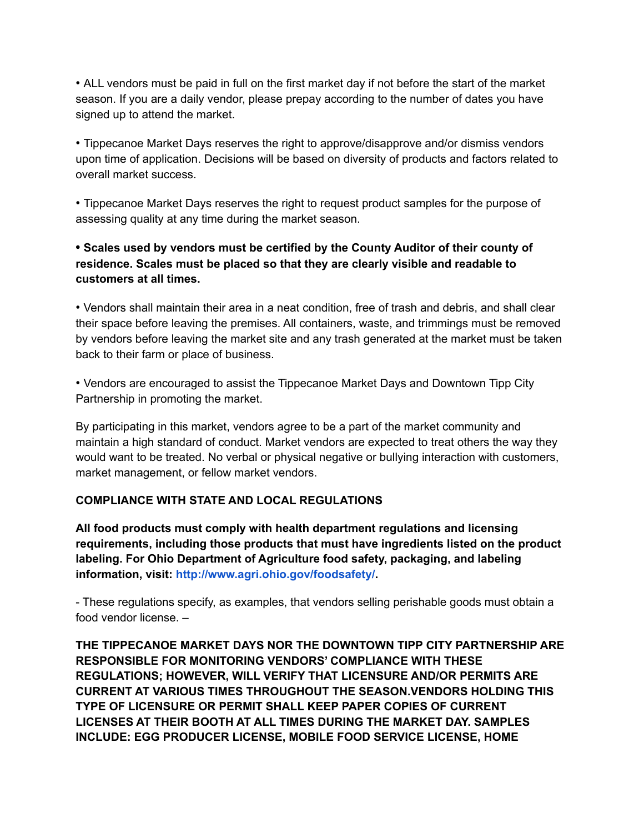• ALL vendors must be paid in full on the first market day if not before the start of the market season. If you are a daily vendor, please prepay according to the number of dates you have signed up to attend the market.

• Tippecanoe Market Days reserves the right to approve/disapprove and/or dismiss vendors upon time of application. Decisions will be based on diversity of products and factors related to overall market success.

• Tippecanoe Market Days reserves the right to request product samples for the purpose of assessing quality at any time during the market season.

## **• Scales used by vendors must be certified by the County Auditor of their county of residence. Scales must be placed so that they are clearly visible and readable to customers at all times.**

• Vendors shall maintain their area in a neat condition, free of trash and debris, and shall clear their space before leaving the premises. All containers, waste, and trimmings must be removed by vendors before leaving the market site and any trash generated at the market must be taken back to their farm or place of business.

• Vendors are encouraged to assist the Tippecanoe Market Days and Downtown Tipp City Partnership in promoting the market.

By participating in this market, vendors agree to be a part of the market community and maintain a high standard of conduct. Market vendors are expected to treat others the way they would want to be treated. No verbal or physical negative or bullying interaction with customers, market management, or fellow market vendors.

## **COMPLIANCE WITH STATE AND LOCAL REGULATIONS**

**All food products must comply with health department regulations and licensing requirements, including those products that must have ingredients listed on the product labeling. For Ohio Department of Agriculture food safety, packaging, and labeling information, visit: http://www.agri.ohio.gov/foodsafety/.**

- These regulations specify, as examples, that vendors selling perishable goods must obtain a food vendor license. –

**THE TIPPECANOE MARKET DAYS NOR THE DOWNTOWN TIPP CITY PARTNERSHIP ARE RESPONSIBLE FOR MONITORING VENDORS' COMPLIANCE WITH THESE REGULATIONS; HOWEVER, WILL VERIFY THAT LICENSURE AND/OR PERMITS ARE CURRENT AT VARIOUS TIMES THROUGHOUT THE SEASON.VENDORS HOLDING THIS TYPE OF LICENSURE OR PERMIT SHALL KEEP PAPER COPIES OF CURRENT LICENSES AT THEIR BOOTH AT ALL TIMES DURING THE MARKET DAY. SAMPLES INCLUDE: EGG PRODUCER LICENSE, MOBILE FOOD SERVICE LICENSE, HOME**